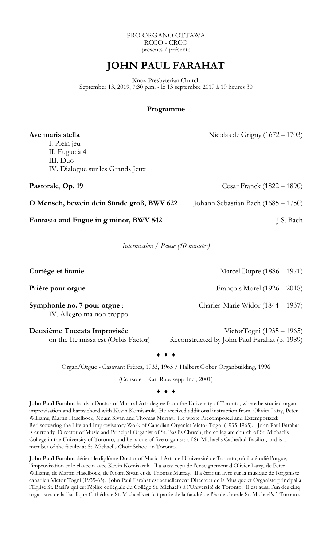PRO ORGANO OTTAWA RCCO - CRCO presents / présente

## **JOHN PAUL FARAHAT**

Knox Presbyterian Church September 13, 2019, 7:30 p.m. - le 13 septembre 2019 à 19 heures 30

## **Programme**

Ave maris stella Nicolas de Grigny (1672 – 1703) I. Plein jeu II. Fugue à 4 III. Duo IV. Dialogue sur les Grands Jeux **Pastorale, Op. 19** Cesar Franck (1822 – 1890)

**O Mensch, bewein dein Sünde groß, BWV 622** Johann Sebastian Bach (1685 – 1750)

**Fantasia and Fugue in g minor, BWV 542** J.S. Bach

*Intermission / Pause (10 minutes)* 

**Cortège et litanie** Marcel Dupré (1886 – 1971) **Prière pour orgue** François Morel (1926 – 2018) **Symphonie no. 7 pour orgue** : Charles-Marie Widor (1844 – 1937) IV. Allegro ma non troppo **Deuxième Toccata Improvisée** VictorTogni (1935 – 1965)

on the Ite missa est (Orbis Factor) Reconstructed by John Paul Farahat (b. 1989)

Organ/Orgue - Casavant Frères, 1933, 1965 / Halbert Gober Organbuilding, 1996

♦ ♦ ♦

(Console - Karl Raudsepp Inc., 2001)

♦ ♦ ♦

**John Paul Farahat** holds a Doctor of Musical Arts degree from the University of Toronto, where he studied organ, improvisation and harpsichord with Kevin Komisaruk. He received additional instruction from Olivier Latry, Peter Williams, Martin Haselböck, Noam Sivan and Thomas Murray. He wrote Precomposed and Extemporized: Rediscovering the Life and Improvisatory Work of Canadian Organist Victor Togni (1935-1965). John Paul Farahat is currently Director of Music and Principal Organist of St. Basil's Church, the collegiate church of St. Michael's College in the University of Toronto, and he is one of five organists of St. Michael's Cathedral-Basilica, and is a member of the faculty at St. Michael's Choir School in Toronto.

**John Paul Farahat** détient le diplôme Doctor of Musical Arts de l'Université de Toronto, où il a étudié l'orgue, l'improvisation et le clavecin avec Kevin Komisaruk. Il a aussi reçu de l'enseignement d'Olivier Latry, de Peter Williams, de Martin Haselböck, de Noam Sivan et de Thomas Murray. Il a écrit un livre sur la musique de l'organiste canadien Victor Togni (1935-65). John Paul Farahat est actuellement Directeur de la Musique et Organiste principal à l'Eglise St. Basil's qui est l'église collégiale du Collège St. Michael's à l'Université de Toronto. Il est aussi l'un des cinq organistes de la Basilique-Cathédrale St. Michael's et fait partie de la faculté de l'école chorale St. Michael's à Toronto.